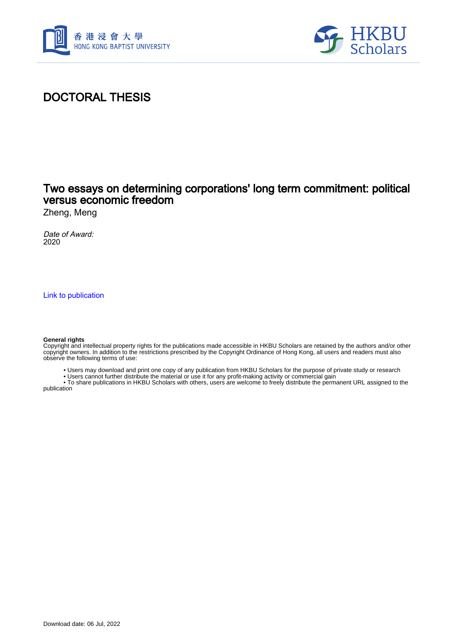



# DOCTORAL THESIS

## Two essays on determining corporations' long term commitment: political versus economic freedom

Zheng, Meng

Date of Award: 2020

[Link to publication](https://scholars.hkbu.edu.hk/en/studentTheses/63410aa2-2210-4fe8-a316-96e9859340b9)

#### **General rights**

Copyright and intellectual property rights for the publications made accessible in HKBU Scholars are retained by the authors and/or other copyright owners. In addition to the restrictions prescribed by the Copyright Ordinance of Hong Kong, all users and readers must also observe the following terms of use:

• Users may download and print one copy of any publication from HKBU Scholars for the purpose of private study or research

• Users cannot further distribute the material or use it for any profit-making activity or commercial gain

 • To share publications in HKBU Scholars with others, users are welcome to freely distribute the permanent URL assigned to the publication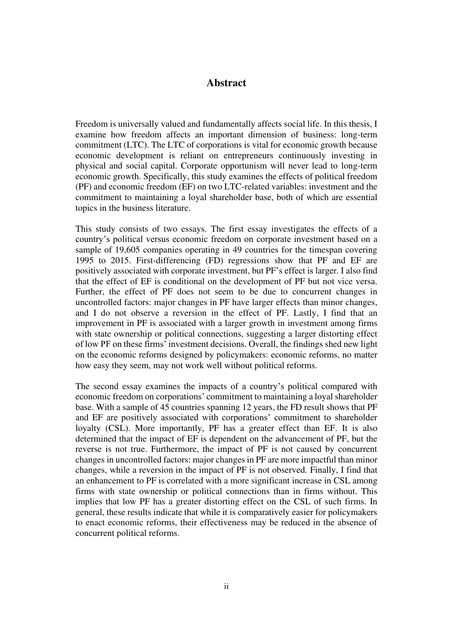### **Abstract**

<span id="page-1-0"></span>Freedom is universally valued and fundamentally affects social life. In this thesis, I examine how freedom affects an important dimension of business: long-term commitment (LTC). The LTC of corporations is vital for economic growth because economic development is reliant on entrepreneurs continuously investing in physical and social capital. Corporate opportunism will never lead to long-term economic growth. Specifically, this study examines the effects of political freedom (PF) and economic freedom (EF) on two LTC-related variables: investment and the commitment to maintaining a loyal shareholder base, both of which are essential topics in the business literature.

This study consists of two essays. The first essay investigates the effects of a country's political versus economic freedom on corporate investment based on a sample of 19,605 companies operating in 49 countries for the timespan covering 1995 to 2015. First-differencing (FD) regressions show that PF and EF are positively associated with corporate investment, but PF's effect is larger. I also find that the effect of EF is conditional on the development of PF but not vice versa. Further, the effect of PF does not seem to be due to concurrent changes in uncontrolled factors: major changes in PF have larger effects than minor changes, and I do not observe a reversion in the effect of PF. Lastly, I find that an improvement in PF is associated with a larger growth in investment among firms with state ownership or political connections, suggesting a larger distorting effect of low PF on these firms' investment decisions. Overall, the findings shed new light on the economic reforms designed by policymakers: economic reforms, no matter how easy they seem, may not work well without political reforms.

The second essay examines the impacts of a country's political compared with economic freedom on corporations' commitment to maintaining a loyal shareholder base. With a sample of 45 countries spanning 12 years, the FD result shows that PF and EF are positively associated with corporations' commitment to shareholder loyalty (CSL). More importantly, PF has a greater effect than EF. It is also determined that the impact of EF is dependent on the advancement of PF, but the reverse is not true. Furthermore, the impact of PF is not caused by concurrent changes in uncontrolled factors: major changes in PF are more impactful than minor changes, while a reversion in the impact of PF is not observed. Finally, I find that an enhancement to PF is correlated with a more significant increase in CSL among firms with state ownership or political connections than in firms without. This implies that low PF has a greater distorting effect on the CSL of such firms. In general, these results indicate that while it is comparatively easier for policymakers to enact economic reforms, their effectiveness may be reduced in the absence of concurrent political reforms.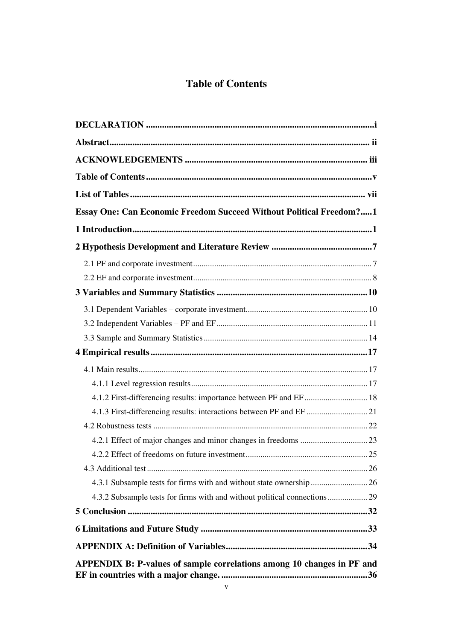# **Table of Contents**

<span id="page-2-0"></span>

| Essay One: Can Economic Freedom Succeed Without Political Freedom?1    |  |
|------------------------------------------------------------------------|--|
|                                                                        |  |
|                                                                        |  |
|                                                                        |  |
|                                                                        |  |
|                                                                        |  |
|                                                                        |  |
|                                                                        |  |
|                                                                        |  |
|                                                                        |  |
|                                                                        |  |
|                                                                        |  |
|                                                                        |  |
|                                                                        |  |
|                                                                        |  |
|                                                                        |  |
|                                                                        |  |
|                                                                        |  |
|                                                                        |  |
|                                                                        |  |
|                                                                        |  |
|                                                                        |  |
|                                                                        |  |
| APPENDIX B: P-values of sample correlations among 10 changes in PF and |  |